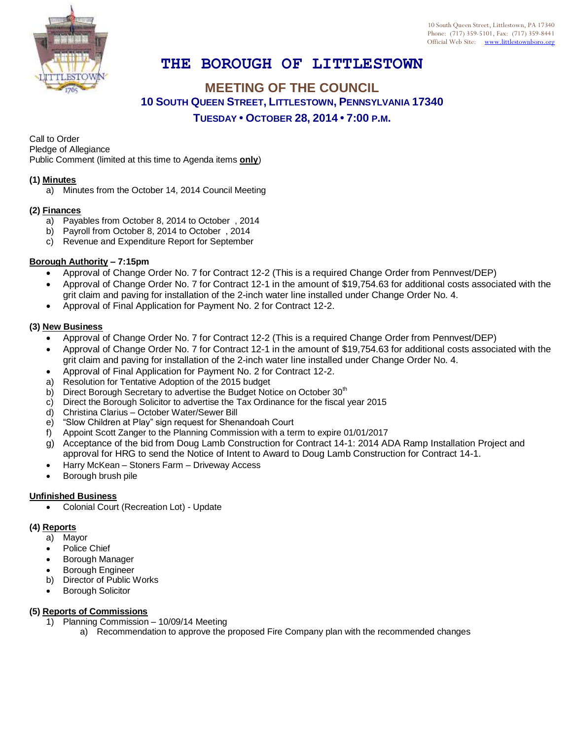

# **THE BOROUGH OF LITTLESTOWN**

## **MEETING OF THE COUNCIL 10 SOUTH QUEEN STREET, LITTLESTOWN, PENNSYLVANIA 17340 TUESDAY • OCTOBER 28, 2014 • 7:00 P.M.**

Call to Order Pledge of Allegiance

Public Comment (limited at this time to Agenda items **only**)

#### **(1) Minutes**

a) Minutes from the October 14, 2014 Council Meeting

## **(2) Finances**

- a) Payables from October 8, 2014 to October , 2014
- b) Payroll from October 8, 2014 to October , 2014
- c) Revenue and Expenditure Report for September

#### **Borough Authority – 7:15pm**

- Approval of Change Order No. 7 for Contract 12-2 (This is a required Change Order from Pennvest/DEP)
- Approval of Change Order No. 7 for Contract 12-1 in the amount of \$19,754.63 for additional costs associated with the grit claim and paving for installation of the 2-inch water line installed under Change Order No. 4.
- Approval of Final Application for Payment No. 2 for Contract 12-2.

#### **(3) New Business**

- Approval of Change Order No. 7 for Contract 12-2 (This is a required Change Order from Pennvest/DEP)
- Approval of Change Order No. 7 for Contract 12-1 in the amount of \$19,754.63 for additional costs associated with the grit claim and paving for installation of the 2-inch water line installed under Change Order No. 4.
- Approval of Final Application for Payment No. 2 for Contract 12-2.
- a) Resolution for Tentative Adoption of the 2015 budget
- b) Direct Borough Secretary to advertise the Budget Notice on October 30<sup>th</sup>
- c) Direct the Borough Solicitor to advertise the Tax Ordinance for the fiscal year 2015
- d) Christina Clarius October Water/Sewer Bill
- e) "Slow Children at Play" sign request for Shenandoah Court
- f) Appoint Scott Zanger to the Planning Commission with a term to expire 01/01/2017
- g) Acceptance of the bid from Doug Lamb Construction for Contract 14-1: 2014 ADA Ramp Installation Project and approval for HRG to send the Notice of Intent to Award to Doug Lamb Construction for Contract 14-1.
- Harry McKean Stoners Farm Driveway Access
- Borough brush pile

## **Unfinished Business**

Colonial Court (Recreation Lot) - Update

## **(4) Reports**

- a) Mayor
- Police Chief
- Borough Manager
- Borough Engineer
- b) Director of Public Works
- Borough Solicitor

#### **(5) Reports of Commissions**

- 1) Planning Commission 10/09/14 Meeting
	- a) Recommendation to approve the proposed Fire Company plan with the recommended changes